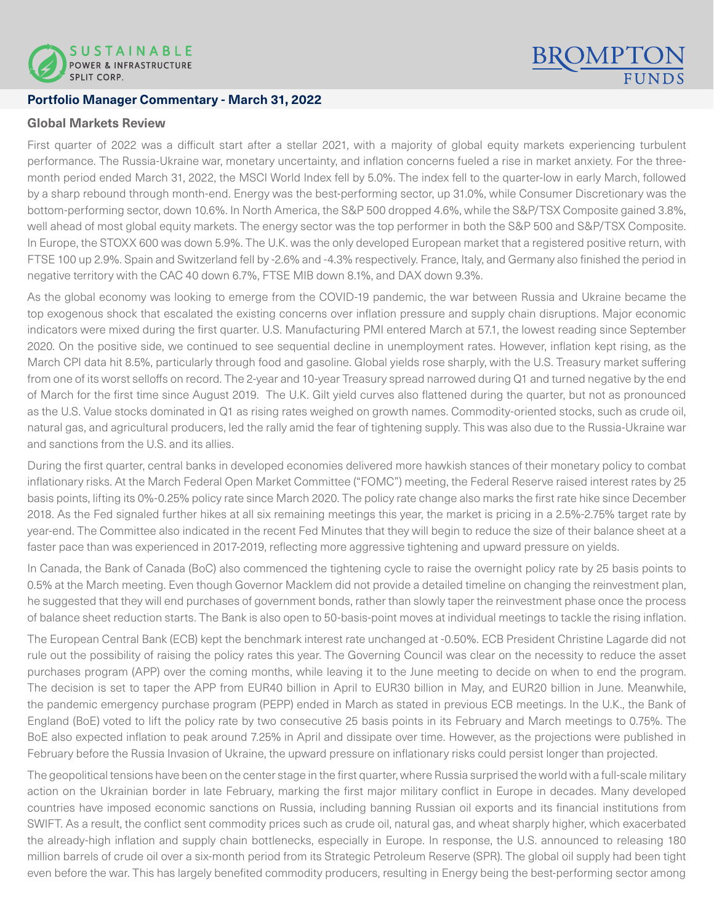

## **Portfolio Manager Commentary - March 31, 2022**

### **Global Markets Review**

First quarter of 2022 was a difficult start after a stellar 2021, with a majority of global equity markets experiencing turbulent performance. The Russia-Ukraine war, monetary uncertainty, and inflation concerns fueled a rise in market anxiety. For the threemonth period ended March 31, 2022, the MSCI World Index fell by 5.0%. The index fell to the quarter-low in early March, followed by a sharp rebound through month-end. Energy was the best-performing sector, up 31.0%, while Consumer Discretionary was the bottom-performing sector, down 10.6%. In North America, the S&P 500 dropped 4.6%, while the S&P/TSX Composite gained 3.8%, well ahead of most global equity markets. The energy sector was the top performer in both the S&P 500 and S&P/TSX Composite. In Europe, the STOXX 600 was down 5.9%. The U.K. was the only developed European market that a registered positive return, with FTSE 100 up 2.9%. Spain and Switzerland fell by -2.6% and -4.3% respectively. France, Italy, and Germany also finished the period in negative territory with the CAC 40 down 6.7%, FTSE MIB down 8.1%, and DAX down 9.3%.

**BROMPT** 

As the global economy was looking to emerge from the COVID-19 pandemic, the war between Russia and Ukraine became the top exogenous shock that escalated the existing concerns over inflation pressure and supply chain disruptions. Major economic indicators were mixed during the first quarter. U.S. Manufacturing PMI entered March at 57.1, the lowest reading since September 2020. On the positive side, we continued to see sequential decline in unemployment rates. However, inflation kept rising, as the March CPI data hit 8.5%, particularly through food and gasoline. Global yields rose sharply, with the U.S. Treasury market suffering from one of its worst selloffs on record. The 2-year and 10-year Treasury spread narrowed during Q1 and turned negative by the end of March for the first time since August 2019. The U.K. Gilt yield curves also flattened during the quarter, but not as pronounced as the U.S. Value stocks dominated in Q1 as rising rates weighed on growth names. Commodity-oriented stocks, such as crude oil, natural gas, and agricultural producers, led the rally amid the fear of tightening supply. This was also due to the Russia-Ukraine war and sanctions from the U.S. and its allies.

During the first quarter, central banks in developed economies delivered more hawkish stances of their monetary policy to combat inflationary risks. At the March Federal Open Market Committee ("FOMC") meeting, the Federal Reserve raised interest rates by 25 basis points, lifting its 0%-0.25% policy rate since March 2020. The policy rate change also marks the first rate hike since December 2018. As the Fed signaled further hikes at all six remaining meetings this year, the market is pricing in a 2.5%-2.75% target rate by year-end. The Committee also indicated in the recent Fed Minutes that they will begin to reduce the size of their balance sheet at a faster pace than was experienced in 2017-2019, reflecting more aggressive tightening and upward pressure on yields.

In Canada, the Bank of Canada (BoC) also commenced the tightening cycle to raise the overnight policy rate by 25 basis points to 0.5% at the March meeting. Even though Governor Macklem did not provide a detailed timeline on changing the reinvestment plan, he suggested that they will end purchases of government bonds, rather than slowly taper the reinvestment phase once the process of balance sheet reduction starts. The Bank is also open to 50-basis-point moves at individual meetings to tackle the rising inflation.

The European Central Bank (ECB) kept the benchmark interest rate unchanged at -0.50%. ECB President Christine Lagarde did not rule out the possibility of raising the policy rates this year. The Governing Council was clear on the necessity to reduce the asset purchases program (APP) over the coming months, while leaving it to the June meeting to decide on when to end the program. The decision is set to taper the APP from EUR40 billion in April to EUR30 billion in May, and EUR20 billion in June. Meanwhile, the pandemic emergency purchase program (PEPP) ended in March as stated in previous ECB meetings. In the U.K., the Bank of England (BoE) voted to lift the policy rate by two consecutive 25 basis points in its February and March meetings to 0.75%. The BoE also expected inflation to peak around 7.25% in April and dissipate over time. However, as the projections were published in February before the Russia Invasion of Ukraine, the upward pressure on inflationary risks could persist longer than projected.

The geopolitical tensions have been on the center stage in the first quarter, where Russia surprised the world with a full-scale military action on the Ukrainian border in late February, marking the first major military conflict in Europe in decades. Many developed countries have imposed economic sanctions on Russia, including banning Russian oil exports and its financial institutions from SWIFT. As a result, the conflict sent commodity prices such as crude oil, natural gas, and wheat sharply higher, which exacerbated the already-high inflation and supply chain bottlenecks, especially in Europe. In response, the U.S. announced to releasing 180 million barrels of crude oil over a six-month period from its Strategic Petroleum Reserve (SPR). The global oil supply had been tight even before the war. This has largely benefited commodity producers, resulting in Energy being the best-performing sector among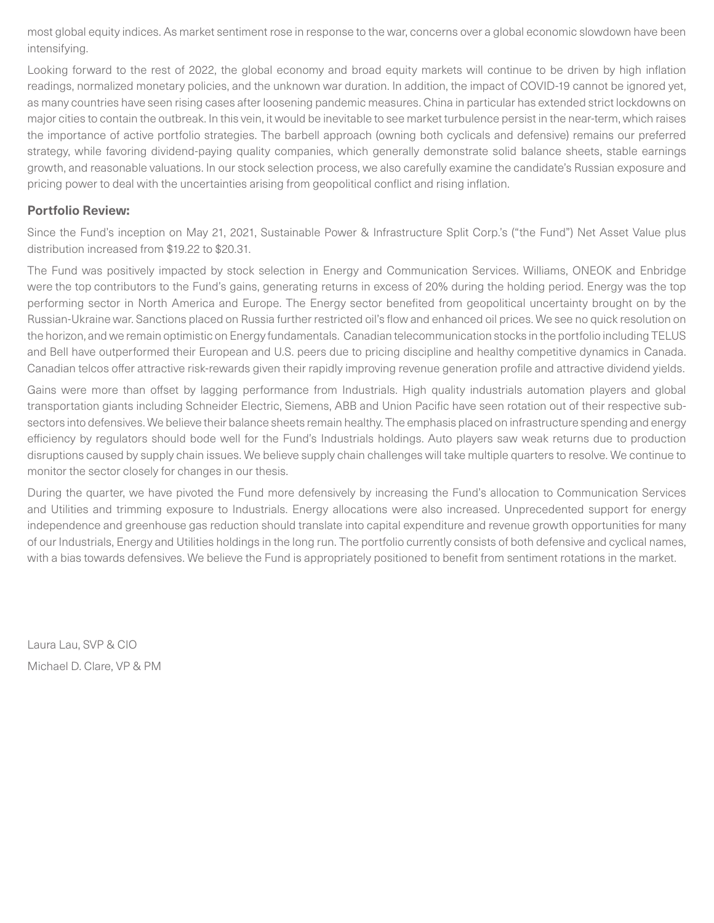most global equity indices. As market sentiment rose in response to the war, concerns over a global economic slowdown have been intensifying.

Looking forward to the rest of 2022, the global economy and broad equity markets will continue to be driven by high inflation readings, normalized monetary policies, and the unknown war duration. In addition, the impact of COVID-19 cannot be ignored yet, as many countries have seen rising cases after loosening pandemic measures. China in particular has extended strict lockdowns on major cities to contain the outbreak. In this vein, it would be inevitable to see market turbulence persist in the near-term, which raises the importance of active portfolio strategies. The barbell approach (owning both cyclicals and defensive) remains our preferred strategy, while favoring dividend-paying quality companies, which generally demonstrate solid balance sheets, stable earnings growth, and reasonable valuations. In our stock selection process, we also carefully examine the candidate's Russian exposure and pricing power to deal with the uncertainties arising from geopolitical conflict and rising inflation.

# **Portfolio Review:**

Since the Fund's inception on May 21, 2021, Sustainable Power & Infrastructure Split Corp.'s ("the Fund") Net Asset Value plus distribution increased from \$19.22 to \$20.31.

The Fund was positively impacted by stock selection in Energy and Communication Services. Williams, ONEOK and Enbridge were the top contributors to the Fund's gains, generating returns in excess of 20% during the holding period. Energy was the top performing sector in North America and Europe. The Energy sector benefited from geopolitical uncertainty brought on by the Russian-Ukraine war. Sanctions placed on Russia further restricted oil's flow and enhanced oil prices. We see no quick resolution on the horizon, and we remain optimistic on Energy fundamentals. Canadian telecommunication stocks in the portfolio including TELUS and Bell have outperformed their European and U.S. peers due to pricing discipline and healthy competitive dynamics in Canada. Canadian telcos offer attractive risk-rewards given their rapidly improving revenue generation profile and attractive dividend yields.

Gains were more than offset by lagging performance from Industrials. High quality industrials automation players and global transportation giants including Schneider Electric, Siemens, ABB and Union Pacific have seen rotation out of their respective subsectors into defensives. We believe their balance sheets remain healthy. The emphasis placed on infrastructure spending and energy efficiency by regulators should bode well for the Fund's Industrials holdings. Auto players saw weak returns due to production disruptions caused by supply chain issues. We believe supply chain challenges will take multiple quarters to resolve. We continue to monitor the sector closely for changes in our thesis.

During the quarter, we have pivoted the Fund more defensively by increasing the Fund's allocation to Communication Services and Utilities and trimming exposure to Industrials. Energy allocations were also increased. Unprecedented support for energy independence and greenhouse gas reduction should translate into capital expenditure and revenue growth opportunities for many of our Industrials, Energy and Utilities holdings in the long run. The portfolio currently consists of both defensive and cyclical names, with a bias towards defensives. We believe the Fund is appropriately positioned to benefit from sentiment rotations in the market.

Laura Lau, SVP & CIO Michael D. Clare, VP & PM